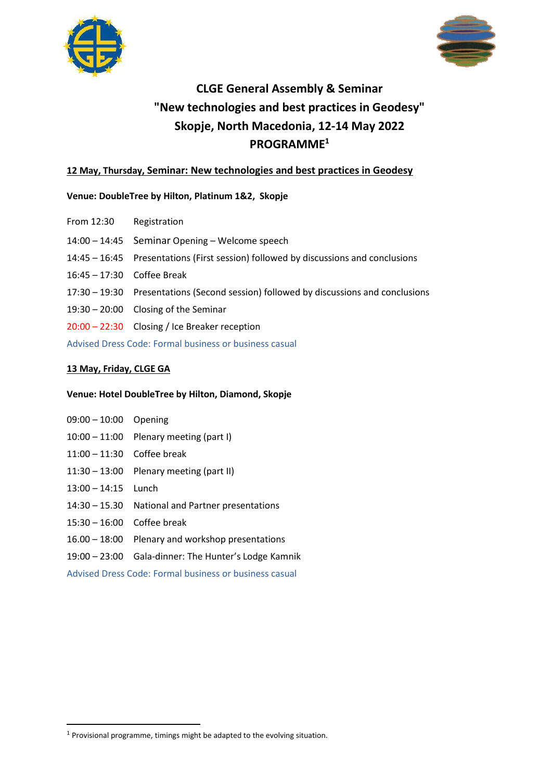



# **CLGE General Assembly & Seminar "New technologies and best practices in Geodesy" Skopje, North Macedonia, 12-14 May 2022 PROGRAMME<sup>1</sup>**

# **12 May, Thursday, Seminar: New technologies and best practices in Geodesy**

# **Venue: DoubleTree by Hilton, Platinum 1&2, Skopje**

- From 12:30 Registration
- 14:00 14:45 Seminar Opening Welcome speech
- 14:45 16:45 Presentations (First session) followed by discussions and conclusions
- 16:45 17:30 Coffee Break
- 17:30 19:30 Presentations (Second session) followed by discussions and conclusions
- 19:30 20:00 Closing of the Seminar
- 20:00 22:30 Closing / Ice Breaker reception

Advised Dress Code: Formal business or business casual

# **13 May, Friday, CLGE GA**

## **Venue: Hotel DoubleTree by Hilton, Diamond, Skopje**

- 09:00 10:00 Opening
- 10:00 11:00 Plenary meeting (part I)
- 11:00 11:30 Coffee break
- 11:30 13:00 Plenary meeting (part II)
- 13:00 14:15 Lunch
- 14:30 15.30 National and Partner presentations
- 15:30 16:00 Coffee break
- 16.00 18:00 Plenary and workshop presentations
- 19:00 23:00 Gala-dinner: The Hunter's Lodge Kamnik

Advised Dress Code: Formal business or business casual

 $1$  Provisional programme, timings might be adapted to the evolving situation.